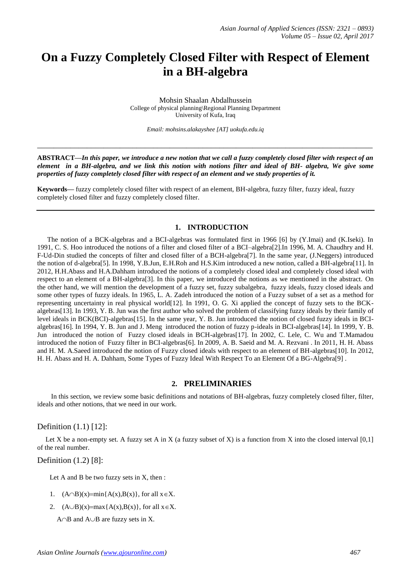# **On a Fuzzy Completely Closed Filter with Respect of Element in a BH-algebra**

Mohsin Shaalan Abdalhussein College of physical planning\Regional Planning Department University of Kufa, Iraq

*Email: mohsins.alakayshee [AT] uokufa.edu.iq*

**\_\_\_\_\_\_\_\_\_\_\_\_\_\_\_\_\_\_\_\_\_\_\_\_\_\_\_\_\_\_\_\_\_\_\_\_\_\_\_\_\_\_\_\_\_\_\_\_\_\_\_\_\_\_\_\_\_\_\_\_\_\_\_\_\_\_\_\_\_\_\_\_\_\_\_\_\_\_\_\_\_**

**ABSTRACT—***In this paper, we introduce a new notion that we call a fuzzy completely closed filter with respect of an element in a BH-algebra, and we link this notion with notions filter and ideal of BH- algebra, We give some properties of fuzzy completely closed filter with respect of an element and we study properties of it.* 

**Keywords—** fuzzy completely closed filter with respect of an element, BH-algebra, fuzzy filter, fuzzy ideal, fuzzy completely closed filter and fuzzy completely closed filter.

#### **1. INTRODUCTION**

The notion of a BCK-algebras and a BCI-algebras was formulated first in 1966 [6] by (Y.Imai) and (K.Iseki). In 1991, C. S. Hoo introduced the notions of a filter and closed filter of a BCI–algebra[2].In 1996, M. A. Chaudhry and H. F-Ud-Din studied the concepts of filter and closed filter of a BCH-algebra[7]. In the same year, (J.Neggers) introduced the notion of d-algebra[5]. In 1998, Y.B.Jun, E.H.Roh and H.S.Kim introduced a new notion, called a BH-algebra[11]. In 2012, H.H.Abass and H.A.Dahham introduced the notions of a completely closed ideal and completely closed ideal with respect to an element of a BH-algebra[3]. In this paper, we introduced the notions as we mentioned in the abstract. On the other hand, we will mention the development of a fuzzy set, fuzzy subalgebra, fuzzy ideals, fuzzy closed ideals and some other types of fuzzy ideals. In 1965, L. A. Zadeh introduced the notion of a Fuzzy subset of a set as a method for representing uncertainty in real physical world[12]. In 1991, O. G. Xi applied the concept of fuzzy sets to the BCKalgebras[13]. In 1993, Y. B. Jun was the first author who solved the problem of classifying fuzzy ideals by their family of level ideals in BCK(BCI)-algebras[15]. In the same year, Y. B. Jun introduced the notion of closed fuzzy ideals in BCIalgebras[16]. In 1994, Y. B. Jun and J. Meng introduced the notion of fuzzy p-ideals in BCI-algebras[14]. In 1999, Y. B. Jun introduced the notion of Fuzzy closed ideals in BCH-algebras[17]. In 2002, C. Lele, C. Wu and T.Mamadou introduced the notion of Fuzzy filter in BCI-algebras[6]. In 2009, A. B. Saeid and M. A. Rezvani . In 2011, H. H. Abass and H. M. A.Saeed introduced the notion of Fuzzy closed ideals with respect to an element of BH-algebras[10]. In 2012, H. H. Abass and H. A. Dahham, Some Types of Fuzzy Ideal With Respect To an Element Of a BG-Algebra[9] .

# **2. PRELIMINARIES**

 In this section, we review some basic definitions and notations of BH-algebras, fuzzy completely closed filter, filter, ideals and other notions, that we need in our work.

Definition (1.1) [12]:

Let X be a non-empty set. A fuzzy set A in X (a fuzzy subset of X) is a function from X into the closed interval  $[0,1]$ of the real number.

Definition (1.2) [8]:

Let A and B be two fuzzy sets in X, then :

- 1.  $(A \cap B)(x) = min{A(x),B(x)}$ , for all  $x \in X$ .
- 2.  $(A \cup B)(x) = max{A(x),B(x)}$ , for all  $x \in X$ .
	- A $\cap$ B and A $\cup$ B are fuzzy sets in X.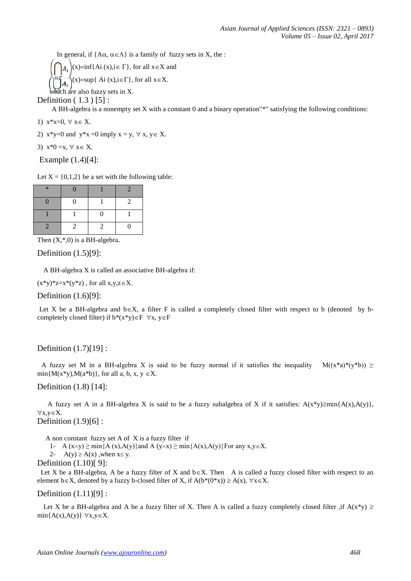In general, if  ${A\alpha, \alpha \in \Lambda}$  is a family of fuzzy sets in X, the :

 $(x)=\inf\{Ai(x), i\in \Gamma\}$ , for all  $x\in X$  and  $(x)=\sup\{ A_i(x), i\in\Gamma\},$  for all  $x\in X$ .

which are also fuzzy sets in X.

Definition ( 1.3 ) [5] :

A BH-algebra is a nonempty set X with a constant 0 and a binary operation"\*" satisfying the following conditions:

- 1)  $x * x = 0, \forall x \in X$ .
- 2)  $x*y=0$  and  $y*x=0$  imply  $x = y, \forall x, y \in X$ .
- 3)  $x*0=x, \forall x \in X$ .

Example (1.4)[4]:

Let  $X = \{0,1,2\}$  be a set with the following table:

| $\ast$ | D             |               |                |
|--------|---------------|---------------|----------------|
|        | $\Omega$      |               | $\overline{2}$ |
|        |               | $\Omega$      |                |
|        | $\mathcal{L}$ | $\mathcal{L}$ | D              |

Then  $(X,*,0)$  is a BH-algebra.

Definition (1.5)[9]:

A BH-algebra X is called an associative BH-algebra if:

 $(x*y)*z=x*(y*z)$ , for all  $x,y,z\in X$ .

Definition (1.6)[9]:

Let X be a BH-algebra and  $b \in X$ , a filter F is called a completely closed filter with respect to b (denoted by bcompletely closed filter) if  $b^*(x^*y) \in F \ \forall x, y \in F$ 

# Definition (1.7)[19] :

A fuzzy set M in a BH-algebra X is said to be fuzzy normal if it satisfies the inequality  $M((x^*a)^*(y^*b)) \ge$  $min{M(x*y),M(a*b)},$  for all a, b, x, y  $\in$ X.

#### Definition (1.8) [14]:

A fuzzy set A in a BH-algebra X is said to be a fuzzy subalgebra of X if it satisfies:  $A(x^*y) \geq min{A(x),A(y)}$ ,  $\forall x,y \in X.$ 

# Definition  $(1.9)[6]$ :

A non constant fuzzy set A of X is a fuzzy filter if

1- A  $(x \land y) \ge \min\{A(x),A(y)\}\$ and A  $(y \land x) \ge \min\{A(x),A(y)\}\$ For any  $x, y \in X$ .

2-  $A(y) \ge A(x)$ , when  $x \le y$ .

Definition (1.10)[ 9]:

Let X be a BH-algebra, A be a fuzzy filter of X and  $b \in X$ . Then A is called a fuzzy closed filter with respect to an element  $b \in X$ , denoted by a fuzzy b-closed filter of X, if  $A(b^*(0^*x)) \ge A(x)$ ,  $\forall x \in X$ .

#### Definition (1.11)[9] :

Let X be a BH-algebra and A be a fuzzy filter of X. Then A is called a fuzzy completely closed filter ,if  $A(x*y) \geq$  $min{A(x),A(y)} \forall x,y \in X.$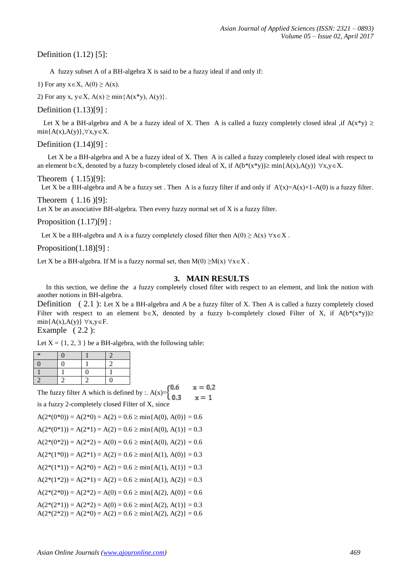# Definition (1.12) [5]:

A fuzzy subset A of a BH-algebra X is said to be a fuzzy ideal if and only if:

1) For any  $x \in X$ ,  $A(0) \ge A(x)$ .

2) For any x,  $y \in X$ ,  $A(x) \ge \min\{A(x^*y), A(y)\}.$ 

Definition (1.13)[9] :

Let X be a BH-algebra and A be a fuzzy ideal of X. Then A is called a fuzzy completely closed ideal , if  $A(x*y) \ge$  $min{A(x),A(y)},\forall x,y\in X.$ 

Definition (1.14)[9] :

 Let X be a BH-algebra and A be a fuzzy ideal of X. Then A is called a fuzzy completely closed ideal with respect to an element  $b \in X$ , denoted by a fuzzy b-completely closed ideal of X, if  $A(b^*(x^*y)) \ge \min\{A(x),A(y)\} \forall x,y \in X$ .

Theorem ( 1.15)[9]:

Let X be a BH-algebra and A be a fuzzy set. Then A is a fuzzy filter if and only if  $A'(x)=A(x)+1-A(0)$  is a fuzzy filter.

Theorem ( 1.16 )[9]:

Let  $X$  be an associative BH-algebra. Then every fuzzy normal set of  $X$  is a fuzzy filter.

Proposition  $(1.17)[9]$ :

Let X be a BH-algebra and A is a fuzzy completely closed filter then  $A(0) \ge A(x) \,\forall x \in X$ .

Proposition(1.18)[9] :

Let X be a BH-algebra. If M is a fuzzy normal set, then  $M(0) \ge M(x)$   $\forall x \in X$ .

### **3. MAIN RESULTS**

 In this section, we define the a fuzzy completely closed filter with respect to an element, and link the notion with another notions in BH-algebra.

Definition ( 2.1 ): Let X be a BH-algebra and A be a fuzzy filter of X. Then A is called a fuzzy completely closed Filter with respect to an element  $b \in X$ , denoted by a fuzzy b-completely closed Filter of X, if  $A(b^*(x^*y)) \geq$  $min{A(x),A(y)} \forall x,y \in F.$ 

Example  $(2.2)$ :

Let  $X = \{1, 2, 3\}$  be a BH-algebra, with the following table:

| $\ast$ | Ω |   |   |
|--------|---|---|---|
| 0      | O |   |   |
|        |   | 0 |   |
|        |   |   | П |

The fuzzy filter A which is defined by :. A(x)= $\begin{cases} 0.6 \\ 0.3 \end{cases}$  $x = 0.2$  $x = 1$ is a fuzzy 2-completely closed Filter of X, since

$$
A(2*(0*0)) = A(2*0) = A(2) = 0.6 \ge \min\{A(0), A(0)\} = 0.6
$$

$$
A(2*(0*1)) = A(2*1) = A(2) = 0.6 \ge \min\{A(0), A(1)\} = 0.3
$$

 $A(2*(0*2)) = A(2*2) = A(0) = 0.6 \ge \min\{A(0), A(2)\} = 0.6$ 

 $A(2*(1*0)) = A(2*1) = A(2) = 0.6 \ge min{A(1), A(0)} = 0.3$ 

 $A(2*(1*1)) = A(2*0) = A(2) = 0.6 \ge \min\{A(1), A(1)\} = 0.3$ 

 $A(2^*(1^*2)) = A(2^*1) = A(2) = 0.6 \ge \min\{A(1), A(2)\} = 0.3$ 

 $A(2*(2*0)) = A(2*2) = A(0) = 0.6 \ge \min\{A(2), A(0)\} = 0.6$ 

 $A(2*(2*1)) = A(2*2) = A(0) = 0.6 \ge \min\{A(2), A(1)\} = 0.3$ 

 $A(2*(2*2)) = A(2*0) = A(2) = 0.6 \ge \min\{A(2), A(2)\} = 0.6$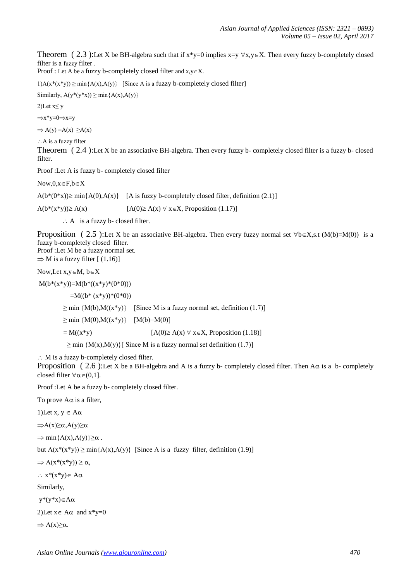Theorem ( 2.3 ):Let X be BH-algebra such that if  $x*y=0$  implies  $x=y \forall x,y \in X$ . Then every fuzzy b-completely closed filter is a fuzzy filter .

Proof : Let A be a fuzzy b-completely closed filter and  $x, y \in X$ .

1)A( $x^*(x^*y)$ ) ≥ min{A(x),A(y)} [Since A is a fuzzy b-completely closed filter]

Similarly,  $A(y^*(y^*x)) \ge \min\{A(x),A(y)\}\$ 

2)Let  $x \leq y$ 

 $\Rightarrow$ x\*y=0 $\Rightarrow$ x=y

 $\Rightarrow$  A(y) = A(x)  $\geq$  A(x)

 $\therefore$  A is a fuzzy filter

Theorem ( 2.4 ):Let X be an associative BH-algebra. Then every fuzzy b- completely closed filter is a fuzzy b- closed filter.

Proof :Let A is fuzzy b- completely closed filter

 $Now, 0, x \in F, b \in X$ 

 $A(b*(0*x)) \ge \min\{A(0),A(x)\}$  [A is fuzzy b-completely closed filter, definition (2.1)]

 $A(b^*(x^*y)) \ge A(x)$  [A(0)  $\ge A(x)$   $\forall$   $x \in X$ , Proposition (1.17)]

 $\therefore$  A is a fuzzy b- closed filter.

Proposition ( 2.5 ):Let X be an associative BH-algebra. Then every fuzzy normal set  $\forall b \in X$ ,s.t (M(b)=M(0)) is a fuzzy b-completely closed filter. Proof :Let M be a fuzzy normal set.

 $\Rightarrow$  M is a fuzzy filter [ (1.16)]

Now, Let  $x, y \in M$ ,  $b \in X$ 

 $M(b*(x*y))=M(b*((x*y)*(0*0)))$ 

 $=M((b*(x*y)*(0*0))$ 

 $\geq$  min  ${M(b), M((x*y)}$  [Since M is a fuzzy normal set, definition (1.7)]

 $\geq$  min  ${M(0), M((x*y)} [M(b)=M(0)]$ 

 $= M((x*y)$  [A(0)  $\geq A(x) \forall x \in X$ , Proposition (1.18)]

 $\geq$  min {M(x),M(y)}[ Since M is a fuzzy normal set definition (1.7)]

M is a fuzzy b-completely closed filter.

Proposition ( 2.6 ):Let X be a BH-algebra and A is a fuzzy b- completely closed filter. Then  $A\alpha$  is a b- completely closed filter  $\forall \alpha \in (0,1]$ .

Proof :Let A be a fuzzy b- completely closed filter.

To prove  $A\alpha$  is a filter,

1)Let  $x, y \in A\alpha$ 

 $\Rightarrow$ A(x) $\geq \alpha$ ,A(y) $\geq \alpha$ 

 $\Rightarrow$  min{A(x),A(y)} $\geq \alpha$ .

but  $A(x^*(x^*y)) \ge \min\{A(x),A(y)\}\$  [Since A is a fuzzy filter, definition (1.9)]

 $\Rightarrow A(x^*(x^*y)) \geq \alpha,$ 

 $\therefore$  x<sup>\*</sup>(x<sup>\*</sup>y)  $\in$  A $\alpha$ 

Similarly,

 $y^*(y^*x) \in A\alpha$ 

2)Let  $x \in A\alpha$  and  $x^*y=0$ 

 $\Rightarrow$  A(x) $\geq \alpha$ .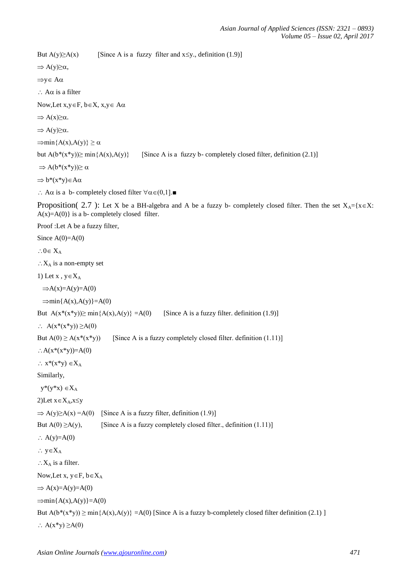```
But A(y) \ge A(x) [Since A is a fuzzy filter and x ≤y., definition (1.9)]
\Rightarrow A(y)\geq \alpha,
```
 $\Rightarrow$ y  $\in$  A $\alpha$ 

 $\therefore$  A $\alpha$  is a filter

Now, Let  $x, y \in F$ ,  $b \in X$ ,  $x, y \in A\alpha$ 

 $\Rightarrow$  A(x) $\geq \alpha$ .

 $\Rightarrow$  A(y) $\geq \alpha$ .

 $\Rightarrow$ min{A(x),A(y)}  $\geq \alpha$ 

but  $A(b^*(x^*y))\geq min\{A(x),A(y)\}$  [Since A is a fuzzy b- completely closed filter, definition (2.1)]

 $\Rightarrow$  A(b\*(x\*y)) $\geq \alpha$ 

 $\Rightarrow$  b\*(x\*y)  $\in$  A $\alpha$ 

 $\therefore$  Aα is a b- completely closed filter  $\forall \alpha \in (0,1]$ .■

Proposition( 2.7 ): Let X be a BH-algebra and A be a fuzzy b- completely closed filter. Then the set  $X_A = \{x \in X: X \in \mathbb{R}^2 : |x| \leq X\}$  $A(x)=A(0)$  is a b- completely closed filter.

Proof :Let A be a fuzzy filter,

Since  $A(0)=A(0)$  $0.0 \in X_A$  $\therefore X_A$  is a non-empty set 1) Let  $x, y \in X_A$  $\Rightarrow$ A(x)=A(y)=A(0)  $\Rightarrow$ min{A(x),A(y)}=A(0) But  $A(x^*(x^*y)) \ge \min\{A(x),A(y)\} = A(0)$  [Since A is a fuzzy filter. definition (1.9)]  $\therefore$  A(x<sup>\*</sup>(x<sup>\*</sup>y))  $\geq$ A(0) But  $A(0) \ge A(x^*(x^*y))$  [Since A is a fuzzy completely closed filter. definition (1.11)]  $\therefore$  A(x<sup>\*</sup>(x<sup>\*</sup>y))=A(0)  $\therefore$  x<sup>\*</sup>(x<sup>\*</sup>y)  $\in X_A$ Similarly,  $y^*(y^*x) \in X_A$ 2)Let  $x \in X_A, x \leq y$  $\Rightarrow$  A(y) $\geq$ A(x) =A(0) [Since A is a fuzzy filter, definition (1.9)] But  $A(0) \geq A(y)$ , [Since A is a fuzzy completely closed filter., definition (1.11)]  $\therefore$  A(y)=A(0)  $\therefore$  y  $\in X_A$  $\therefore$  X<sub>A</sub> is a filter. Now, Let  $x, y \in F$ ,  $b \in X_A$  $\Rightarrow$  A(x)=A(y)=A(0)  $\Rightarrow$ min{A(x),A(y)}=A(0) But  $A(b^*(x^*y)) \ge \min\{A(x),A(y)\} = A(0)$  [Since A is a fuzzy b-completely closed filter definition (2.1) ]  $\therefore$  A(x<sup>\*</sup>y)  $\geq$ A(0)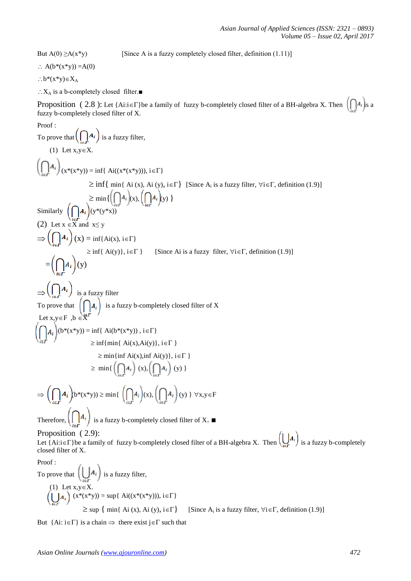But  $A(0) \ge A(x^*y)$  [Since A is a fuzzy completely closed filter, definition (1.11)]

 $\therefore$  A(b\*(x\*y)) =A(0)

 $:b*(x*y)\in X_A$ 

 $\therefore X_A$  is a b-completely closed filter.■

Proposition ( 2.8 ): Let {Ai:i ∈ Γ} be a family of fuzzy b-completely closed filter of a BH-algebra X. Then  $\left(\bigcap_{k=1}^{n} A_k\right)$  s a fuzzy b-completely closed filter of X.

Proof:  
\nTo prove that 
$$
\left(\prod_{i\in I} A_i\right)
$$
 is a fuzzy filter,  
\n(1) Let  $x,y \in X$ .  
\n $\left(\prod_{i\in I} A_i\right) (x^*(x^*y)) = inf\{Ai((x^*(x^*y))), i\in \Gamma\}$   
\n $\ge inf\{min\{A_i\}(x), Ai(y), i\in \Gamma\}$  [Since  $A_i$  is a fuzzy filter,  $\forall i\in \Gamma$ , definition (1.9)]  
\n $\ge min\{\left(\prod_{i\in I} A_i\right)(x^*(x^*y))\}$   
\nSimilarly  $\left(\prod_{i\in I} A_i\right)(x) = inf\{Ai(x), i\in \Gamma\}$   
\n $\ge inf\{Ai(y)\}, i\in \Gamma\}$  [Since Ai is a fuzzy filter,  $\forall i\in \Gamma$ , definition (1.9)]  
\n $= \left(\prod_{i\in I} A_i\right)(y)$   
\n $\Rightarrow \left(\prod_{i\in I} A_i\right)(y)$   
\n $\Rightarrow \left(\prod_{i\in I} A_i\right)(y)$   
\n $\Rightarrow \left(\prod_{i\in I} A_i\right)(y)$   
\n $\Rightarrow \left(\prod_{i\in I} A_i\right)(x) = inf\{Ai(x), i\in \Gamma\}$   
\nTo prove that  $\left(\bigcap_{i\in I} A_i\right)$  is a fuzzy b-completely closed filter of X  
\nLet  $x,y \in \mathbb{F}$ ,  $b \in \mathbb{X}^F$   
\n $\ge min\{min\{Ai(x), \text{inf}(y)\}, i\in \Gamma\}$   
\n $\ge min\{min\{Ai(x), \text{inf}(y)\}, i\in \Gamma\}$   
\n $\ge min\{min\{Ai(x), \text{inf}(y)\}, i\in \Gamma\}$   
\n $\ge min\{min\{Ai(x), \text{inf}(y)\}, i\in \Gamma\}$   
\nTherefore,  $\left(\prod_{i\in I} A_i\right)(x^*(x^*y)) \ge min\{min\{\prod_{i\in I} A_i\}(x), \left(\prod_{i\in I} A_i\right)(y)\} \forall x,y \in \mathbb{F}$   
\nTherefore,  $\left(\prod_{i\in I} A_i\right)$  is a fuzzy b-completely closed filter of X.   
\n**Therefore,  $\$** 

But {Ai:  $i \in \Gamma$ } is a chain  $\Rightarrow$  there exist  $j \in \Gamma$  such that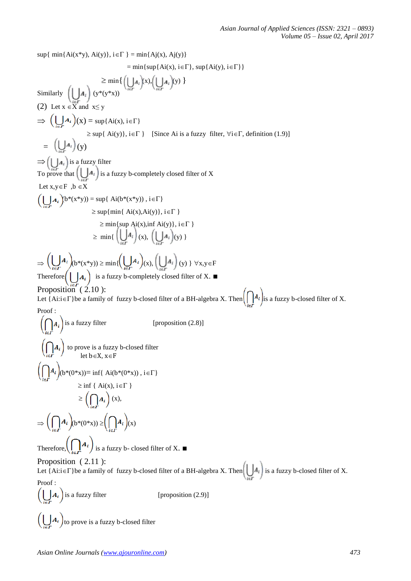$\sup\{\min\{\text{Ai}(x^*y), \text{Ai}(y)\}, i \in \Gamma\} = \min\{\text{Ai}(x), \text{Ai}(y)\}$  $=$  min{sup{Ai(x), i $\in$  $\Gamma$ }, sup{Ai(y), i $\in$  $\Gamma$ }}  $\geq \min \{ (| \ | A_i)(x), (| \ | A_i)(y) \}$ Similarly  $\left[\begin{array}{c|c} A_i \end{array}\right]$  (y\*(y\*x)) (2) Let  $x \in X$  and  $x \le y$  $\Rightarrow$   $(\bigcup A_i)(x) = \sup\{Ai(x), i \in \Gamma\}$  $\geq$  sup{ Ai(y)}, i  $\in$  [Since Ai is a fuzzy filter,  $\forall$ i $\in$  [, definition (1.9)]  $=$   $(\bigcup_{i} A_i)(y)$  $\Rightarrow ( | \nightharpoonup_{A_i} )$  is a fuzzy filter To prove that  $\bigcup_{i=1}^{\infty} A_i$  is a fuzzy b-completely closed filter of X Let  $x,y \in F$ ,  $b \in X$  $\left(\bigcup\limits_{\cdot\cdot} A_i\right)\!\!\left(b^*\!\!\left(x^*\!y\right)\right) = \sup\{\; {\rm Ai}(b^*\!\!\left(x^*\!y\right))\,,\, i\!\in\!\Gamma\}$  $\geq$  sup{min{ Ai(x), Ai(y)}, i  $\in$   $\Gamma$  }  $\geq$  min{sup Ai(x),inf Ai(y)}, i $\in$   $\Gamma$ }  $\geq$  min{  $\left(\bigcup A_i\right)_{(x)}$ ,  $\left(\bigcup A_i\right)_{(y)}$  }  $\Rightarrow \left(\bigcup_{i\in F} A_i\right) (b^*(x^*y)) \ge \min\{ \left(\bigcup_{i\in F} A_i\right) (x), \left(\bigcup_{i\in F} A_i\right) (y)\ \} \ \forall x,y\in F$ Therefore,  $\left(\bigcup_{i=1}^{n} A_i\right)$  is a fuzzy b-completely closed filter of X. Proposition (2.10): Let {Ai: $i \in \Gamma$ }be a family of fuzzy b-closed filter of a BH-algebra X. Then  $\left(\bigcap A_i\right)$  is a fuzzy b-closed filter of X. Proof :  $\left(\bigcap A_i\right)$  is a fuzzy filter [proposition (2.8)] to prove is a fuzzy b-closed filter  $\sum_{i \in \Gamma}$  / let b  $\in$  X,  $x \in F$  $\left(\bigcap_{i \in \Gamma} A_i\right) (b^*(0^*x)) = \inf\{ Ai(b^*(0^*x)) , i \in \Gamma\}$  $\geq$  inf { Ai(x), i  $\in$   $\Gamma$  }  $\geq \left(\bigcap A_i\right)(x),$  $\Rightarrow$   $\left(\bigcap A_i\right)_{(b^*(0^*x))} \geq \left(\bigcap A_i\right)_{(x)}$ Therefore,  $\left(\bigcap_{i\in \mathcal{F}} A_i\right)$  is a fuzzy b- closed filter of X. Proposition ( 2.11 ): Let {Ai: $i \in \Gamma$ }be a family of fuzzy b-closed filter of a BH-algebra X. Then  $\left(\bigcup A_i\right)$  is a fuzzy b-closed filter of X. Proof :  $\left(\bigcup A_i\right)$  is a fuzzy filter [proposition (2.9)]  $\left(\bigcup_{i=1}^{n} A_i\right)$  to prove is a fuzzy b-closed filter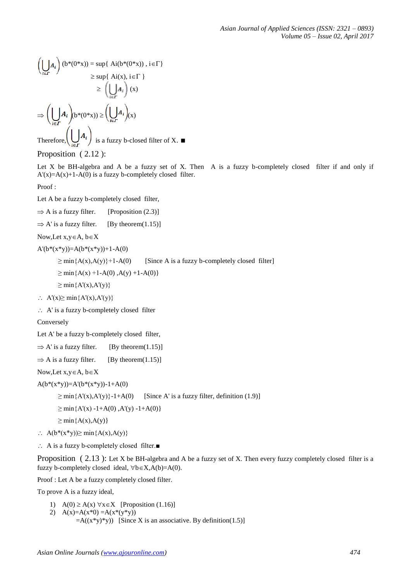$$
\left(\bigcup_{i \in \Gamma} A_i\right) (b^*(0^*x)) = \sup \{ A_i(b^*(0^*x)), i \in \Gamma \}
$$
  
\n
$$
\geq \sup \{ A_i(x), i \in \Gamma \}
$$
  
\n
$$
\geq \left(\bigcup_{i \in \Gamma} A_i\right) (x)
$$
  
\n
$$
\Rightarrow \left(\bigcup_{i \in \Gamma} A_i\right) (b^*(0^*x)) \geq \left(\bigcup_{i \in \Gamma} A_i\right) (x)
$$

Therefore,  $\left(\bigcup_{i \in \mathcal{F}} \mathbb{I}^{\mathcal{F}}\right)$  is a fuzzy b-closed filter of X.

Proposition ( 2.12 ):

Let X be BH-algebra and A be a fuzzy set of X. Then A is a fuzzy b-completely closed filter if and only if  $A'(x)=A(x)+1-A(0)$  is a fuzzy b-completely closed filter.

Proof :

Let A be a fuzzy b-completely closed filter,

 $\Rightarrow$  A is a fuzzy filter. [Proposition (2.3)]

 $\Rightarrow$  A' is a fuzzy filter. [By theorem(1.15)]

Now, Let  $x, y \in A$ ,  $b \in X$ 

 $A'(b*(x*y))=A(b*(x*y))+1-A(0)$ 

 $\geq$  min{A(x),A(y)}+1-A(0) [Since A is a fuzzy b-completely closed filter]

 $\geq$  min{A(x) +1-A(0),A(y) +1-A(0)}

 $\geq$  min ${A'(x), A'(y)}$ 

- $\therefore$  A'(x)  $\geq$  min{A'(x),A'(y)}
- $\therefore$  A' is a fuzzy b-completely closed filter

Conversely

Let A' be a fuzzy b-completely closed filter,

 $\Rightarrow$  A' is a fuzzy filter. [By theorem(1.15)]

 $\Rightarrow$  A is a fuzzy filter. [By theorem(1.15)]

Now, Let  $x, y \in A$ ,  $b \in X$ 

```
A(b*(x*y))=A'(b*(x*y))-1+A(0)
```
 $\geq$  min{A'(x),A'(y)}-1+A(0) [Since A' is a fuzzy filter, definition (1.9)]

 $\geq$  min{A'(x) -1+A(0),A'(y) -1+A(0)}

- $\geq$  min ${A(x), A(y)}$
- $\therefore$  A(b<sup>\*</sup>(x<sup>\*</sup>y))≥ min{A(x),A(y)}
- A is a fuzzy b-completely closed filter.■

Proposition ( 2.13 ): Let X be BH-algebra and A be a fuzzy set of X. Then every fuzzy completely closed filter is a fuzzy b-completely closed ideal,  $\forall b \in X, A(b)=A(0)$ .

Proof : Let A be a fuzzy completely closed filter.

To prove A is a fuzzy ideal,

- 1)  $A(0) \ge A(x) \forall x \in X$  [Proposition (1.16)]
- 2)  $A(x)=A(x*0) = A(x*(y*y))$  $= A((x*y)*y)$  [Since X is an associative. By definition(1.5)]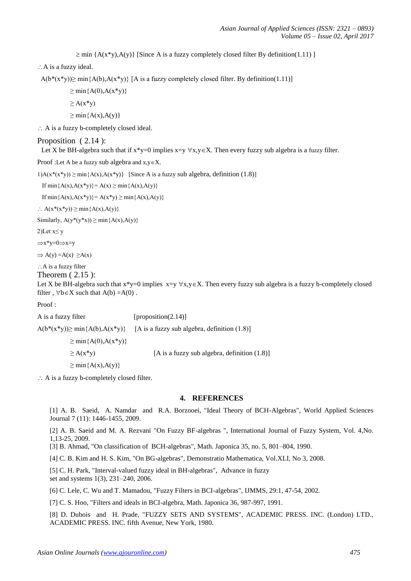$\geq$  min {A(x\*y),A(y)} [Since A is a fuzzy completely closed filter By definition(1.11) ]

: A is a fuzzy ideal.

 $A(b*(x*y))\geq min{A(b),A(x*y)}$  [A is a fuzzy completely closed filter. By definition(1.11)]

 $\geq$  min ${A(0), A(x*y)}$  $\geq A(x^*y)$ 

$$
\geq \min\{A(x),A(y)\}
$$

A is a fuzzy b-completely closed ideal.

#### Proposition ( 2.14 ):

Let X be BH-algebra such that if  $x*y=0$  implies  $x=y \forall x,y \in X$ . Then every fuzzy sub algebra is a fuzzy filter.

Proof :Let A be a fuzzy sub algebra and  $x, y \in X$ .

1)A( $x^*(x^*y)$ ) ≥ min $\{A(x),A(x^*y)\}$  [Since A is a fuzzy sub algebra, definition (1.8)]

If  $min{A(x),A(x*y)}=A(x) \ge min{A(x),A(y)}$ 

If min ${A(x),A(x*y)}=A(x*y)\geq min{A(x),A(y)}$ 

 $\therefore$  A(x\*(x\*y))  $\geq$  min ${A(x),A(y)}$ 

Similarly,  $A(y^*(y^*x)) \ge \min\{A(x),A(y)\}$ 

2)Let  $x \le y$ 

 $\Rightarrow$ x\*y=0 $\Rightarrow$ x=y

```
\Rightarrow A(y) = A(x) \geq A(x)
```
: A is a fuzzy filter

Theorem ( 2.15 ):

Let X be BH-algebra such that  $x*y=0$  implies  $x=y \forall x,y\in X$ . Then every fuzzy sub algebra is a fuzzy b-completely closed filter,  $\forall$ b $\in$ X such that A(b) =A(0).

Proof :

A is a fuzzy filter [proposition(2.14)]  $A(b^*(x^*y)) \ge \min\{A(b), A(x^*y)\}$  [A is a fuzzy sub algebra, definition (1.8)]  $\geq$  min ${A(0), A(x*y)}$  $\geq A(x^*y)$  [A is a fuzzy sub algebra, definition (1.8)]  $\geq$  min ${A(x), A(y)}$ 

 $\therefore$  A is a fuzzy b-completely closed filter.

#### **4. REFERENCES**

[1] A. B. Saeid, A. Namdar and R.A. Borzooei, "Ideal Theory of BCH-Algebras", World Applied Sciences Journal 7 (11): 1446-1455, 2009.

[2] A. B. Saeid and M. A. Rezvani "On Fuzzy BF-algebras ", International Journal of Fuzzy System, Vol. 4,No. 1,13-25, 2009.

[3] B. Ahmad, "On classification of BCH-algebras", Math. Japonica 35, no. 5, 801–804, 1990.

[4] C. B. Kim and H. S. Kim, "On BG-algebras", Demonstratio Mathematica, Vol.XLI, No 3, 2008.

[5] C. H. Park, "Interval-valued fuzzy ideal in BH-algebras", Advance in fuzzy set and systems 1(3), 231–240, 2006.

[6] C. Lele, C. Wu and T. Mamadou, "Fuzzy Filters in BCI-algebras", IJMMS, 29:1, 47-54, 2002.

[7] C. S. Hoo, "Filters and ideals in BCI-algebra, Math. Japonica 36, 987-997, 1991.

[8] D. Dubois and H. Prade, "FUZZY SETS AND SYSTEMS", ACADEMIC PRESS. INC. (London) LTD., ACADEMIC PRESS. INC. fifth Avenue, New York, 1980.